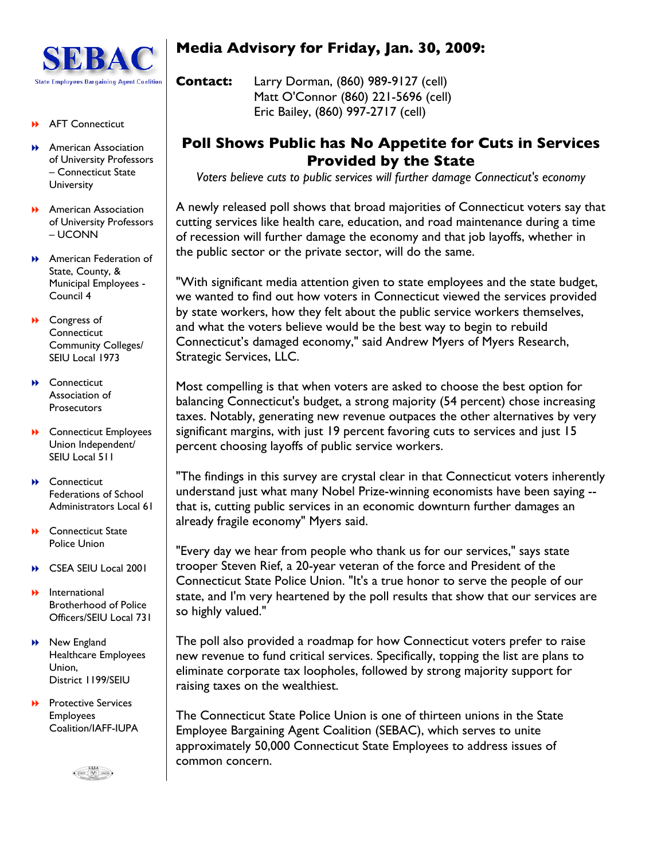

#### **AFT Connecticut**

- **American Association** of University Professors – Connecticut State **University**
- **American Association** of University Professors – UCONN
- **American Federation of** State, County, & Municipal Employees - Council 4
- **D** Congress of **Connecticut** Community Colleges/ SEIU Local 1973
- **A** Connecticut Association of **Prosecutors**
- **▶ Connecticut Employees** Union Independent/ SEIU Local 511
- **A** Connecticut Federations of School Administrators Local 61
- **B** Connecticut State Police Union
- **B** CSEA SEIU Local 2001
- International Brotherhood of Police Officers/SEIU Local 731
- **New England** Healthcare Employees Union, District 1199/SEIU
- Protective Services Employees Coalition/IAFF-IUPA



# **Media Advisory for Friday, Jan. 30, 2009:**

**Contact:** Larry Dorman, (860) 989-9127 (cell) Matt O'Connor (860) 221-5696 (cell) Eric Bailey, (860) 997-2717 (cell)

## **Poll Shows Public has No Appetite for Cuts in Services Provided by the State**

*Voters believe cuts to public services will further damage Connecticut's economy*

A newly released poll shows that broad majorities of Connecticut voters say that cutting services like health care, education, and road maintenance during a time of recession will further damage the economy and that job layoffs, whether in the public sector or the private sector, will do the same.

"With significant media attention given to state employees and the state budget, we wanted to find out how voters in Connecticut viewed the services provided by state workers, how they felt about the public service workers themselves, and what the voters believe would be the best way to begin to rebuild Connecticut's damaged economy," said Andrew Myers of Myers Research, Strategic Services, LLC.

Most compelling is that when voters are asked to choose the best option for balancing Connecticut's budget, a strong majority (54 percent) chose increasing taxes. Notably, generating new revenue outpaces the other alternatives by very significant margins, with just 19 percent favoring cuts to services and just 15 percent choosing layoffs of public service workers.

"The findings in this survey are crystal clear in that Connecticut voters inherently understand just what many Nobel Prize-winning economists have been saying - that is, cutting public services in an economic downturn further damages an already fragile economy" Myers said.

"Every day we hear from people who thank us for our services," says state trooper Steven Rief, a 20-year veteran of the force and President of the Connecticut State Police Union. "It's a true honor to serve the people of our state, and I'm very heartened by the poll results that show that our services are so highly valued."

The poll also provided a roadmap for how Connecticut voters prefer to raise new revenue to fund critical services. Specifically, topping the list are plans to eliminate corporate tax loopholes, followed by strong majority support for raising taxes on the wealthiest.

The Connecticut State Police Union is one of thirteen unions in the State Employee Bargaining Agent Coalition (SEBAC), which serves to unite approximately 50,000 Connecticut State Employees to address issues of common concern.